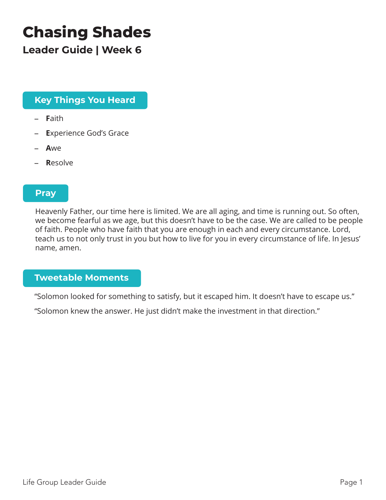# **Chasing Shades**

**Leader Guide | Week 6**

## **Key Things You Heard**

- **F**aith
- **E**xperience God's Grace
- **A**we
- **R**esolve

#### **Pray**

Heavenly Father, our time here is limited. We are all aging, and time is running out. So often, we become fearful as we age, but this doesn't have to be the case. We are called to be people of faith. People who have faith that you are enough in each and every circumstance. Lord, teach us to not only trust in you but how to live for you in every circumstance of life. In Jesus' name, amen.

### **Tweetable Moments**

"Solomon looked for something to satisfy, but it escaped him. It doesn't have to escape us."

"Solomon knew the answer. He just didn't make the investment in that direction."